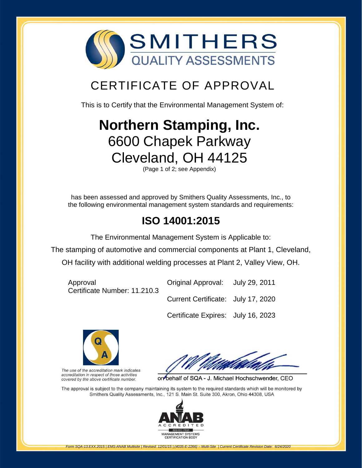

# CERTIFICATE OF APPROVAL

This is to Certify that the Environmental Management System of:

# **[Northern Stamping, Inc.](http://www.smithersregistrar.com/)**  6600 Chapek Parkway Cleveland, OH 44125

(Page 1 of 2; see Appendix)

has been assessed and approved by Smithers Quality Assessments, Inc., to the following environmental management system standards and requirements:

## **ISO 14001:2015**

The Environmental Management System is Applicable to:

The stamping of automotive and commercial components at Plant 1, Cleveland,

OH facility with additional welding processes at Plant 2, Valley View, OH.

Approval Certificate Number: 11.210.3 Original Approval: July 29, 2011 Current Certificate: July 17, 2020 Certificate Expires: July 16, 2023



The use of the accreditation mark indicates accreditation in respect of those activities covered by the above certificate number.

on behalf of SQA - J. Michael Hochschwender, CEO

The approval is subject to the company maintaining its system to the required standards which will be monitored by Smithers Quality Assessments, Inc., 121 S. Main St. Suite 300, Akron, Ohio 44308, USA